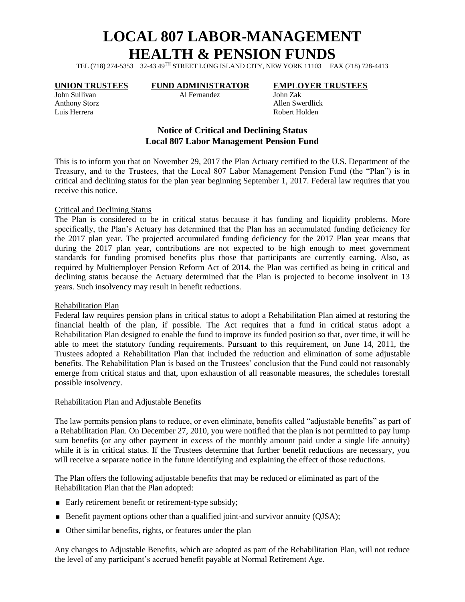# **LOCAL 807 LABOR-MANAGEMENT HEALTH & PENSION FUNDS**

TEL (718) 274-5353 32-43 49TH STREET LONG ISLAND CITY, NEW YORK 11103 FAX (718) 728-4413

Luis Herrera Robert Holden

John Sullivan Al Fernandez John Zak

## **UNION TRUSTEES FUND ADMINISTRATOR EMPLOYER TRUSTEES**

Anthony Storz Allen Swerdlick

# **Notice of Critical and Declining Status Local 807 Labor Management Pension Fund**

This is to inform you that on November 29, 2017 the Plan Actuary certified to the U.S. Department of the Treasury, and to the Trustees, that the Local 807 Labor Management Pension Fund (the "Plan") is in critical and declining status for the plan year beginning September 1, 2017. Federal law requires that you receive this notice.

#### Critical and Declining Status

The Plan is considered to be in critical status because it has funding and liquidity problems. More specifically, the Plan's Actuary has determined that the Plan has an accumulated funding deficiency for the 2017 plan year. The projected accumulated funding deficiency for the 2017 Plan year means that during the 2017 plan year, contributions are not expected to be high enough to meet government standards for funding promised benefits plus those that participants are currently earning. Also, as required by Multiemployer Pension Reform Act of 2014, the Plan was certified as being in critical and declining status because the Actuary determined that the Plan is projected to become insolvent in 13 years. Such insolvency may result in benefit reductions.

#### Rehabilitation Plan

Federal law requires pension plans in critical status to adopt a Rehabilitation Plan aimed at restoring the financial health of the plan, if possible. The Act requires that a fund in critical status adopt a Rehabilitation Plan designed to enable the fund to improve its funded position so that, over time, it will be able to meet the statutory funding requirements. Pursuant to this requirement, on June 14, 2011, the Trustees adopted a Rehabilitation Plan that included the reduction and elimination of some adjustable benefits. The Rehabilitation Plan is based on the Trustees' conclusion that the Fund could not reasonably emerge from critical status and that, upon exhaustion of all reasonable measures, the schedules forestall possible insolvency.

#### Rehabilitation Plan and Adjustable Benefits

The law permits pension plans to reduce, or even eliminate, benefits called "adjustable benefits" as part of a Rehabilitation Plan. On December 27, 2010, you were notified that the plan is not permitted to pay lump sum benefits (or any other payment in excess of the monthly amount paid under a single life annuity) while it is in critical status. If the Trustees determine that further benefit reductions are necessary, you will receive a separate notice in the future identifying and explaining the effect of those reductions.

The Plan offers the following adjustable benefits that may be reduced or eliminated as part of the Rehabilitation Plan that the Plan adopted:

- Early retirement benefit or retirement-type subsidy;
- Benefit payment options other than a qualified joint-and survivor annuity (QJSA);
- Other similar benefits, rights, or features under the plan

Any changes to Adjustable Benefits, which are adopted as part of the Rehabilitation Plan, will not reduce the level of any participant's accrued benefit payable at Normal Retirement Age.